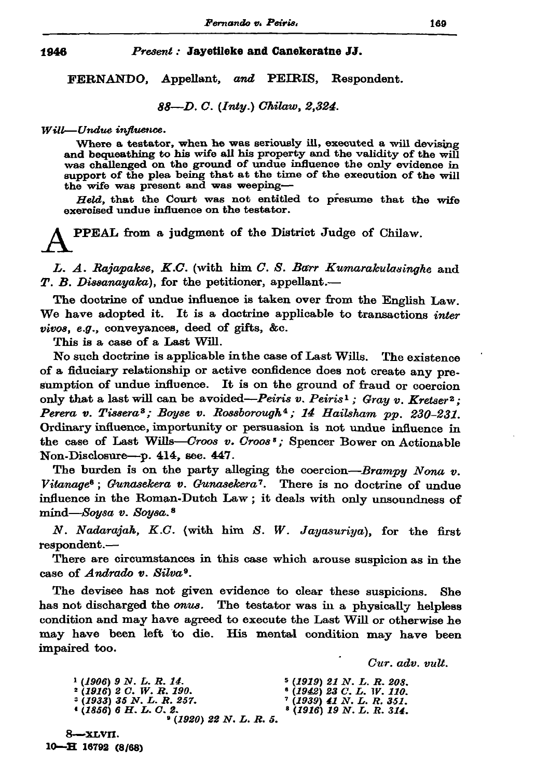## 1946

## Present: Jayetileke and Canekeratne JJ.

FERNANDO, Appellant, and PEIRIS, Respondent.

88-D. C. (Inty.) Chilaw, 2,324.

## Will-Undue influence.

Where a testator, when he was seriously ill, executed a will devising and bequeathing to his wife all his property and the validity of the will was challenged on the ground of undue influence the only evidence in support of the plea being that at the time of the execution of the will the wife was present and was weeping-

Held, that the Court was not entitled to presume that the wife exercised undue influence on the testator.

**PPEAL** from a judgment of the District Judge of Chilaw.

L. A. Rajapakse, K.C. (with him C. S. Barr Kumarakulasinghe and  $T. B. Dissanayaka$ , for the petitioner, appellant.—

The doctrine of undue influence is taken over from the English Law. We have adopted it. It is a doctrine applicable to transactions *inter* vivos, e.g., conveyances, deed of gifts, &c.

This is a case of a Last Will.

No such doctrine is applicable in the case of Last Wills. The existence of a fiduciary relationship or active confidence does not create any presumption of undue influence. It is on the ground of fraud or coercion only that a last will can be avoided-Peiris v. Peiris<sup>1</sup>; Gray v. Kretser<sup>2</sup>; Perera v. Tissera<sup>3</sup>; Boyse v. Rossborough<sup>4</sup>; 14 Hailsham pp. 230-231. Ordinary influence, importunity or persuasion is not undue influence in the case of Last Wills-Croos v. Croos<sup>5</sup>; Spencer Bower on Actionable Non-Disclosure-p. 414, see. 447.

The burden is on the party alleging the coercion-Brampy Nona v. Vitanage<sup>6</sup>; Gunasekera v. Gunasekera<sup>7</sup>. There is no doctrine of undue influence in the Roman-Dutch Law; it deals with only unsoundness of mind-Soysa v. Soysa.<sup>8</sup>

N. Nadarajah, K.C. (with him S. W. Jayasuriya), for the first respondent.-

There are circumstances in this case which arouse suspicion as in the case of Andrado v. Silva<sup>9</sup>.

The devisee has not given evidence to clear these suspicions. She. has not discharged the onus. The testator was in a physically helpless condition and may have agreed to execute the Last Will or otherwise he may have been left to die. His mental condition may have been impaired too.

Cur. adv. vult.

 $1 (1906) 9 N. L. R. 14.$  $5(1919)$  21 N. L. R. 208.  $(1942)$  23 C. L. W. 110.<br>  $(1939)$  41 N. L. R. 351.  $2(1916)$  2 C. W. R. 190.<br> $2(1933)$  35 N. L. R. 257.  $(1856)$  6 H. L. C. 2.  $(1916)$  19 N. L. R. 314.  $(1920)$  22 N.L.R.5.

8—хі. VII. 10-H 16792 (8/68)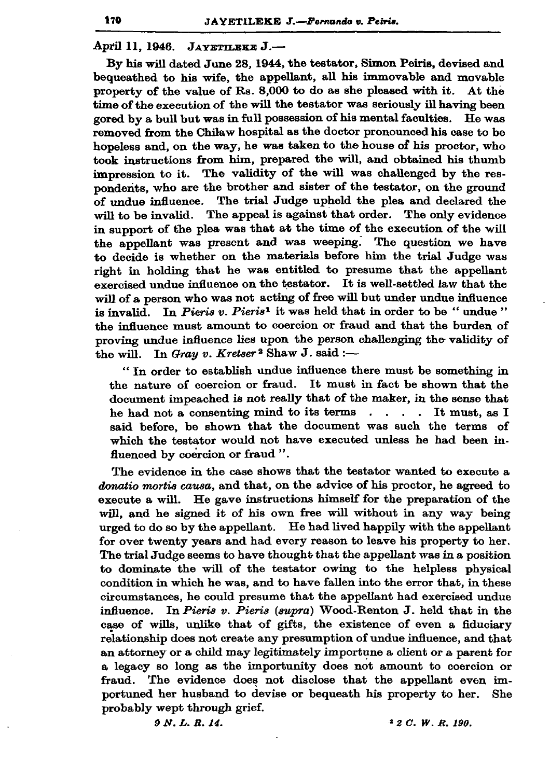## April 11, 1946. JAYETILEKE J.-

By his will dated June 28, 1944, the testator, Simon Peiris, devised and bequeathed to his wife, the appellant, all his immovable and movable property of the value of Rs. 8,000 to do as she pleased with it. At the time of the execution of the will the testator was seriously ill having been gored by a bull but was in full possession of his mental faculties. He was removed from the Chilaw hospital as the doctor pronounced his case to be hopeless and, on the way, he was taken to the house of his proctor, who took instructions from him, prepared the will, and obtained his thumb impression to it. The validity of the will was challenged by the respondents, who are the brother and sister of the testator, on the ground of undue influence. The trial Judge upheld the plea and declared the The appeal is against that order. The only evidence will to be invalid. in support of the plea was that at the time of the execution of the will the appellant was present and was weeping. The question we have to decide is whether on the materials before him the trial Judge was right in holding that he was entitled to presume that the appellant exercised undue influence on the testator. It is well-settled law that the will of a person who was not acting of free will but under undue influence is invalid. In Pieris v. Pieris<sup>1</sup> it was held that in order to be "undue" the influence must amount to coercion or fraud and that the burden of proving undue influence lies upon the person challenging the validity of In Gray v. Kretser<sup>2</sup> Shaw J. said :the will.

"In order to establish undue influence there must be something in the nature of coercion or fraud. It must in fact be shown that the document impeached is not really that of the maker, in the sense that he had not a consenting mind to its terms . . . . It must, as I said before, be shown that the document was such the terms of which the testator would not have executed unless he had been influenced by coercion or fraud ".

The evidence in the case shows that the testator wanted to execute a donatio mortis causa, and that, on the advice of his proctor, he agreed to execute a will. He gave instructions himself for the preparation of the will, and he signed it of his own free will without in any way being urged to do so by the appellant. He had lived happily with the appellant for over twenty years and had every reason to leave his property to her. The trial Judge seems to have thought that the appellant was in a position to dominate the will of the testator owing to the helpless physical condition in which he was, and to have fallen into the error that, in these circumstances, he could presume that the appellant had exercised undue influence. In Pieris v. Pieris (supra) Wood-Renton J. held that in the case of wills, unlike that of gifts, the existence of even a fiduciary relationship does not create any presumption of undue influence, and that an attorney or a child may legitimately importune a client or a parent for a legacy so long as the importunity does not amount to coercion or fraud. The evidence does not disclose that the appellant even importuned her husband to devise or bequeath his property to her. She probably wept through grief.

9 N.L.R.14.

 $12 C. W. R. 190.$